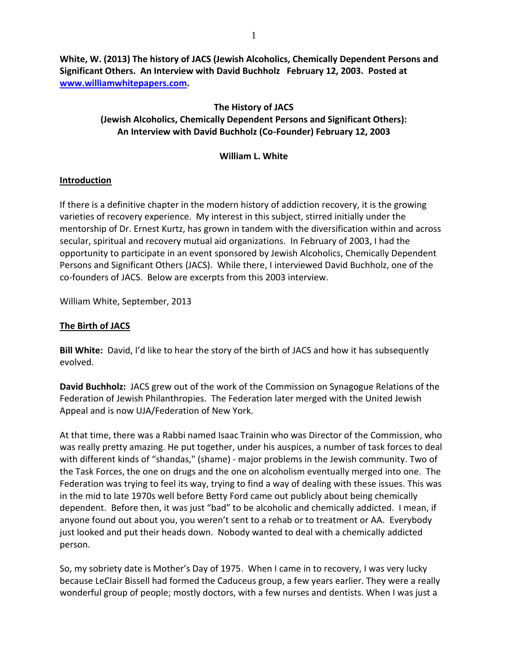**White, W. (2013) The history of JACS (Jewish Alcoholics, Chemically Dependent Persons and Significant Others. An Interview with David Buchholz February 12, 2003. Posted at [www.williamwhitepapers.com.](http://www.williamwhitepapers.com/)** 

# **The History of JACS**

#### **(Jewish Alcoholics, Chemically Dependent Persons and Significant Others): An Interview with David Buchholz (Co-Founder) February 12, 2003**

#### **William L. White**

## **Introduction**

If there is a definitive chapter in the modern history of addiction recovery, it is the growing varieties of recovery experience. My interest in this subject, stirred initially under the mentorship of Dr. Ernest Kurtz, has grown in tandem with the diversification within and across secular, spiritual and recovery mutual aid organizations. In February of 2003, I had the opportunity to participate in an event sponsored by Jewish Alcoholics, Chemically Dependent Persons and Significant Others (JACS). While there, I interviewed David Buchholz, one of the co-founders of JACS. Below are excerpts from this 2003 interview.

William White, September, 2013

## **The Birth of JACS**

**Bill White:** David, I'd like to hear the story of the birth of JACS and how it has subsequently evolved.

**David Buchholz:** JACS grew out of the work of the Commission on Synagogue Relations of the Federation of Jewish Philanthropies. The Federation later merged with the United Jewish Appeal and is now UJA/Federation of New York.

At that time, there was a Rabbi named Isaac Trainin who was Director of the Commission, who was really pretty amazing. He put together, under his auspices, a number of task forces to deal with different kinds of "shandas," (shame) - major problems in the Jewish community. Two of the Task Forces, the one on drugs and the one on alcoholism eventually merged into one. The Federation was trying to feel its way, trying to find a way of dealing with these issues. This was in the mid to late 1970s well before Betty Ford came out publicly about being chemically dependent. Before then, it was just "bad" to be alcoholic and chemically addicted. I mean, if anyone found out about you, you weren't sent to a rehab or to treatment or AA. Everybody just looked and put their heads down. Nobody wanted to deal with a chemically addicted person.

So, my sobriety date is Mother's Day of 1975. When I came in to recovery, I was very lucky because LeClair Bissell had formed the Caduceus group, a few years earlier. They were a really wonderful group of people; mostly doctors, with a few nurses and dentists. When I was just a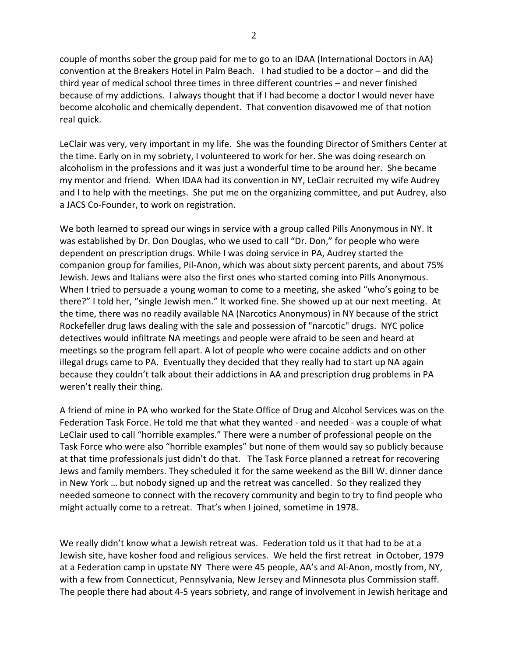couple of months sober the group paid for me to go to an IDAA (International Doctors in AA) convention at the Breakers Hotel in Palm Beach. I had studied to be a doctor – and did the third year of medical school three times in three different countries – and never finished because of my addictions. I always thought that if I had become a doctor I would never have become alcoholic and chemically dependent. That convention disavowed me of that notion real quick.

LeClair was very, very important in my life. She was the founding Director of Smithers Center at the time. Early on in my sobriety, I volunteered to work for her. She was doing research on alcoholism in the professions and it was just a wonderful time to be around her. She became my mentor and friend. When IDAA had its convention in NY, LeClair recruited my wife Audrey and I to help with the meetings. She put me on the organizing committee, and put Audrey, also a JACS Co-Founder, to work on registration.

We both learned to spread our wings in service with a group called Pills Anonymous in NY. It was established by Dr. Don Douglas, who we used to call "Dr. Don," for people who were dependent on prescription drugs. While I was doing service in PA, Audrey started the companion group for families, Pil-Anon, which was about sixty percent parents, and about 75% Jewish. Jews and Italians were also the first ones who started coming into Pills Anonymous. When I tried to persuade a young woman to come to a meeting, she asked "who's going to be there?" I told her, "single Jewish men." It worked fine. She showed up at our next meeting. At the time, there was no readily available NA (Narcotics Anonymous) in NY because of the strict Rockefeller drug laws dealing with the sale and possession of ["narcotic"](https://en.wikipedia.org/wiki/Narcotic) drugs. NYC police detectives would infiltrate NA meetings and people were afraid to be seen and heard at meetings so the program fell apart. A lot of people who were cocaine addicts and on other illegal drugs came to PA. Eventually they decided that they really had to start up NA again because they couldn't talk about their addictions in AA and prescription drug problems in PA weren't really their thing.

A friend of mine in PA who worked for the State Office of Drug and Alcohol Services was on the Federation Task Force. He told me that what they wanted - and needed - was a couple of what LeClair used to call "horrible examples." There were a number of professional people on the Task Force who were also "horrible examples" but none of them would say so publicly because at that time professionals just didn't do that. The Task Force planned a retreat for recovering Jews and family members. They scheduled it for the same weekend as the Bill W. dinner dance in New York … but nobody signed up and the retreat was cancelled. So they realized they needed someone to connect with the recovery community and begin to try to find people who might actually come to a retreat. That's when I joined, sometime in 1978.

We really didn't know what a Jewish retreat was. Federation told us it that had to be at a Jewish site, have kosher food and religious services. We held the first retreat in October, 1979 at a Federation camp in upstate NY There were 45 people, AA's and Al-Anon, mostly from, NY, with a few from Connecticut, Pennsylvania, New Jersey and Minnesota plus Commission staff. The people there had about 4-5 years sobriety, and range of involvement in Jewish heritage and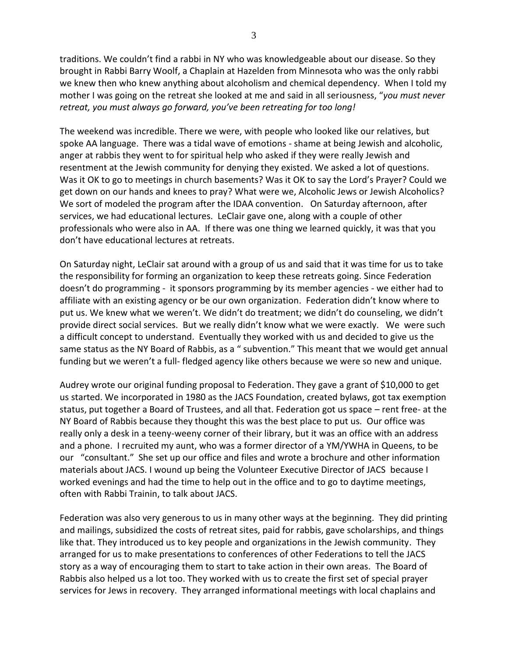traditions. We couldn't find a rabbi in NY who was knowledgeable about our disease. So they brought in Rabbi Barry Woolf, a Chaplain at Hazelden from Minnesota who was the only rabbi we knew then who knew anything about alcoholism and chemical dependency. When I told my mother I was going on the retreat she looked at me and said in all seriousness, "*you must never retreat, you must always go forward, you've been retreating for too long!*

The weekend was incredible. There we were, with people who looked like our relatives, but spoke AA language. There was a tidal wave of emotions - shame at being Jewish and alcoholic, anger at rabbis they went to for spiritual help who asked if they were really Jewish and resentment at the Jewish community for denying they existed. We asked a lot of questions. Was it OK to go to meetings in church basements? Was it OK to say the Lord's Prayer? Could we get down on our hands and knees to pray? What were we, Alcoholic Jews or Jewish Alcoholics? We sort of modeled the program after the IDAA convention. On Saturday afternoon, after services, we had educational lectures. LeClair gave one, along with a couple of other professionals who were also in AA. If there was one thing we learned quickly, it was that you don't have educational lectures at retreats.

On Saturday night, LeClair sat around with a group of us and said that it was time for us to take the responsibility for forming an organization to keep these retreats going. Since Federation doesn't do programming - it sponsors programming by its member agencies - we either had to affiliate with an existing agency or be our own organization. Federation didn't know where to put us. We knew what we weren't. We didn't do treatment; we didn't do counseling, we didn't provide direct social services. But we really didn't know what we were exactly. We were such a difficult concept to understand. Eventually they worked with us and decided to give us the same status as the NY Board of Rabbis, as a " subvention." This meant that we would get annual funding but we weren't a full- fledged agency like others because we were so new and unique.

Audrey wrote our original funding proposal to Federation. They gave a grant of \$10,000 to get us started. We incorporated in 1980 as the JACS Foundation, created bylaws, got tax exemption status, put together a Board of Trustees, and all that. Federation got us space – rent free- at the NY Board of Rabbis because they thought this was the best place to put us. Our office was really only a desk in a teeny-weeny corner of their library, but it was an office with an address and a phone. I recruited my aunt, who was a former director of a YM/YWHA in Queens, to be our "consultant." She set up our office and files and wrote a brochure and other information materials about JACS. I wound up being the Volunteer Executive Director of JACS because I worked evenings and had the time to help out in the office and to go to daytime meetings, often with Rabbi Trainin, to talk about JACS.

Federation was also very generous to us in many other ways at the beginning. They did printing and mailings, subsidized the costs of retreat sites, paid for rabbis, gave scholarships, and things like that. They introduced us to key people and organizations in the Jewish community. They arranged for us to make presentations to conferences of other Federations to tell the JACS story as a way of encouraging them to start to take action in their own areas. The Board of Rabbis also helped us a lot too. They worked with us to create the first set of special prayer services for Jews in recovery. They arranged informational meetings with local chaplains and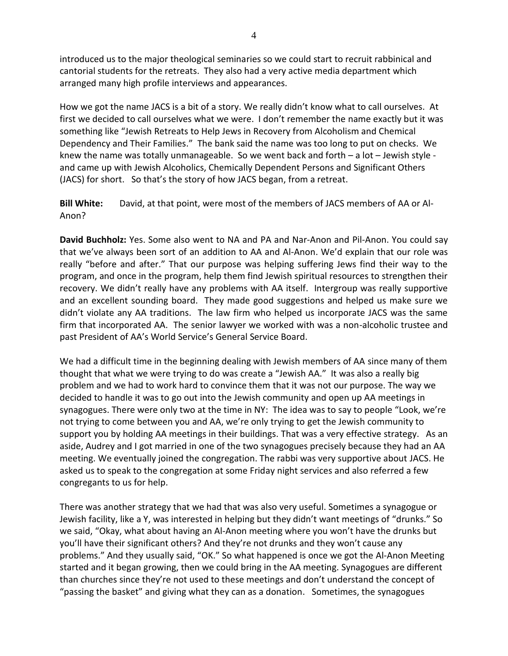introduced us to the major theological seminaries so we could start to recruit rabbinical and cantorial students for the retreats. They also had a very active media department which arranged many high profile interviews and appearances.

How we got the name JACS is a bit of a story. We really didn't know what to call ourselves. At first we decided to call ourselves what we were. I don't remember the name exactly but it was something like "Jewish Retreats to Help Jews in Recovery from Alcoholism and Chemical Dependency and Their Families." The bank said the name was too long to put on checks. We knew the name was totally unmanageable. So we went back and forth – a lot – Jewish style and came up with Jewish Alcoholics, Chemically Dependent Persons and Significant Others (JACS) for short. So that's the story of how JACS began, from a retreat.

**Bill White:** David, at that point, were most of the members of JACS members of AA or Al-Anon?

**David Buchholz:** Yes. Some also went to NA and PA and Nar-Anon and Pil-Anon. You could say that we've always been sort of an addition to AA and Al-Anon. We'd explain that our role was really "before and after." That our purpose was helping suffering Jews find their way to the program, and once in the program, help them find Jewish spiritual resources to strengthen their recovery. We didn't really have any problems with AA itself. Intergroup was really supportive and an excellent sounding board. They made good suggestions and helped us make sure we didn't violate any AA traditions. The law firm who helped us incorporate JACS was the same firm that incorporated AA. The senior lawyer we worked with was a non-alcoholic trustee and past President of AA's World Service's General Service Board.

We had a difficult time in the beginning dealing with Jewish members of AA since many of them thought that what we were trying to do was create a "Jewish AA." It was also a really big problem and we had to work hard to convince them that it was not our purpose. The way we decided to handle it was to go out into the Jewish community and open up AA meetings in synagogues. There were only two at the time in NY: The idea was to say to people "Look, we're not trying to come between you and AA, we're only trying to get the Jewish community to support you by holding AA meetings in their buildings. That was a very effective strategy. As an aside, Audrey and I got married in one of the two synagogues precisely because they had an AA meeting. We eventually joined the congregation. The rabbi was very supportive about JACS. He asked us to speak to the congregation at some Friday night services and also referred a few congregants to us for help.

There was another strategy that we had that was also very useful. Sometimes a synagogue or Jewish facility, like a Y, was interested in helping but they didn't want meetings of "drunks." So we said, "Okay, what about having an Al-Anon meeting where you won't have the drunks but you'll have their significant others? And they're not drunks and they won't cause any problems." And they usually said, "OK." So what happened is once we got the Al-Anon Meeting started and it began growing, then we could bring in the AA meeting. Synagogues are different than churches since they're not used to these meetings and don't understand the concept of "passing the basket" and giving what they can as a donation. Sometimes, the synagogues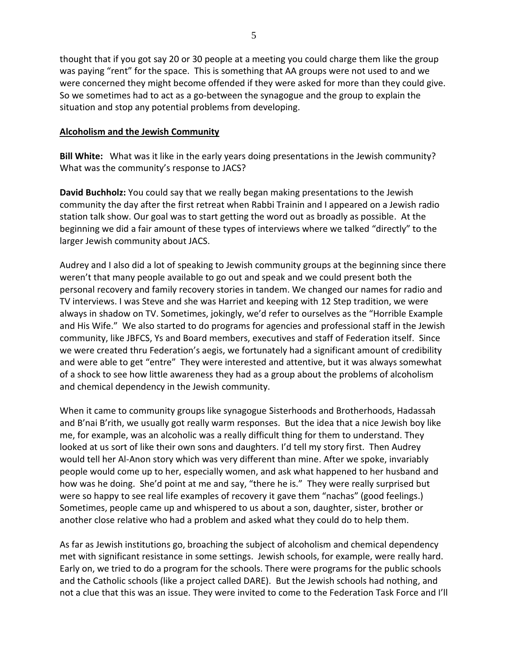thought that if you got say 20 or 30 people at a meeting you could charge them like the group was paying "rent" for the space. This is something that AA groups were not used to and we were concerned they might become offended if they were asked for more than they could give. So we sometimes had to act as a go-between the synagogue and the group to explain the situation and stop any potential problems from developing.

## **Alcoholism and the Jewish Community**

**Bill White:** What was it like in the early years doing presentations in the Jewish community? What was the community's response to JACS?

**David Buchholz:** You could say that we really began making presentations to the Jewish community the day after the first retreat when Rabbi Trainin and I appeared on a Jewish radio station talk show. Our goal was to start getting the word out as broadly as possible. At the beginning we did a fair amount of these types of interviews where we talked "directly" to the larger Jewish community about JACS.

Audrey and I also did a lot of speaking to Jewish community groups at the beginning since there weren't that many people available to go out and speak and we could present both the personal recovery and family recovery stories in tandem. We changed our names for radio and TV interviews. I was Steve and she was Harriet and keeping with 12 Step tradition, we were always in shadow on TV. Sometimes, jokingly, we'd refer to ourselves as the "Horrible Example and His Wife." We also started to do programs for agencies and professional staff in the Jewish community, like JBFCS, Ys and Board members, executives and staff of Federation itself. Since we were created thru Federation's aegis, we fortunately had a significant amount of credibility and were able to get "entre" They were interested and attentive, but it was always somewhat of a shock to see how little awareness they had as a group about the problems of alcoholism and chemical dependency in the Jewish community.

When it came to community groups like synagogue Sisterhoods and Brotherhoods, Hadassah and B'nai B'rith, we usually got really warm responses. But the idea that a nice Jewish boy like me, for example, was an alcoholic was a really difficult thing for them to understand. They looked at us sort of like their own sons and daughters. I'd tell my story first. Then Audrey would tell her Al-Anon story which was very different than mine. After we spoke, invariably people would come up to her, especially women, and ask what happened to her husband and how was he doing. She'd point at me and say, "there he is." They were really surprised but were so happy to see real life examples of recovery it gave them "nachas" (good feelings.) Sometimes, people came up and whispered to us about a son, daughter, sister, brother or another close relative who had a problem and asked what they could do to help them.

As far as Jewish institutions go, broaching the subject of alcoholism and chemical dependency met with significant resistance in some settings. Jewish schools, for example, were really hard. Early on, we tried to do a program for the schools. There were programs for the public schools and the Catholic schools (like a project called DARE). But the Jewish schools had nothing, and not a clue that this was an issue. They were invited to come to the Federation Task Force and I'll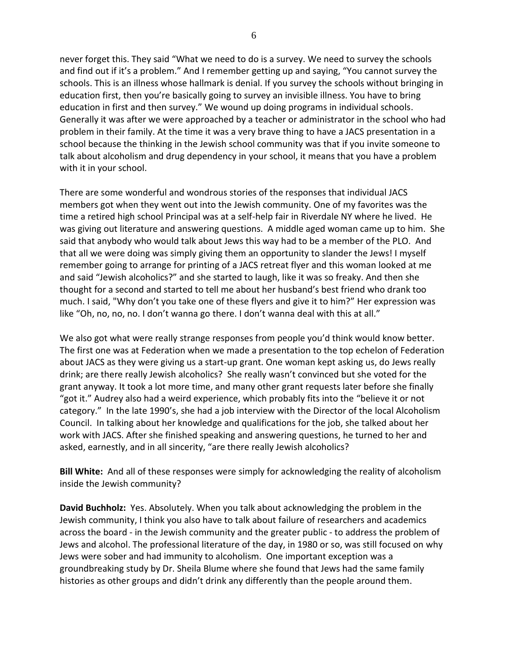never forget this. They said "What we need to do is a survey. We need to survey the schools and find out if it's a problem." And I remember getting up and saying, "You cannot survey the schools. This is an illness whose hallmark is denial. If you survey the schools without bringing in education first, then you're basically going to survey an invisible illness. You have to bring education in first and then survey." We wound up doing programs in individual schools. Generally it was after we were approached by a teacher or administrator in the school who had problem in their family. At the time it was a very brave thing to have a JACS presentation in a school because the thinking in the Jewish school community was that if you invite someone to talk about alcoholism and drug dependency in your school, it means that you have a problem with it in your school.

There are some wonderful and wondrous stories of the responses that individual JACS members got when they went out into the Jewish community. One of my favorites was the time a retired high school Principal was at a self-help fair in Riverdale NY where he lived. He was giving out literature and answering questions. A middle aged woman came up to him. She said that anybody who would talk about Jews this way had to be a member of the PLO. And that all we were doing was simply giving them an opportunity to slander the Jews! I myself remember going to arrange for printing of a JACS retreat flyer and this woman looked at me and said "Jewish alcoholics?" and she started to laugh, like it was so freaky. And then she thought for a second and started to tell me about her husband's best friend who drank too much. I said, "Why don't you take one of these flyers and give it to him?" Her expression was like "Oh, no, no, no. I don't wanna go there. I don't wanna deal with this at all."

We also got what were really strange responses from people you'd think would know better. The first one was at Federation when we made a presentation to the top echelon of Federation about JACS as they were giving us a start-up grant. One woman kept asking us, do Jews really drink; are there really Jewish alcoholics? She really wasn't convinced but she voted for the grant anyway. It took a lot more time, and many other grant requests later before she finally "got it." Audrey also had a weird experience, which probably fits into the "believe it or not category." In the late 1990's, she had a job interview with the Director of the local Alcoholism Council. In talking about her knowledge and qualifications for the job, she talked about her work with JACS. After she finished speaking and answering questions, he turned to her and asked, earnestly, and in all sincerity, "are there really Jewish alcoholics?

**Bill White:** And all of these responses were simply for acknowledging the reality of alcoholism inside the Jewish community?

**David Buchholz:** Yes. Absolutely. When you talk about acknowledging the problem in the Jewish community, I think you also have to talk about failure of researchers and academics across the board - in the Jewish community and the greater public - to address the problem of Jews and alcohol. The professional literature of the day, in 1980 or so, was still focused on why Jews were sober and had immunity to alcoholism. One important exception was a groundbreaking study by Dr. Sheila Blume where she found that Jews had the same family histories as other groups and didn't drink any differently than the people around them.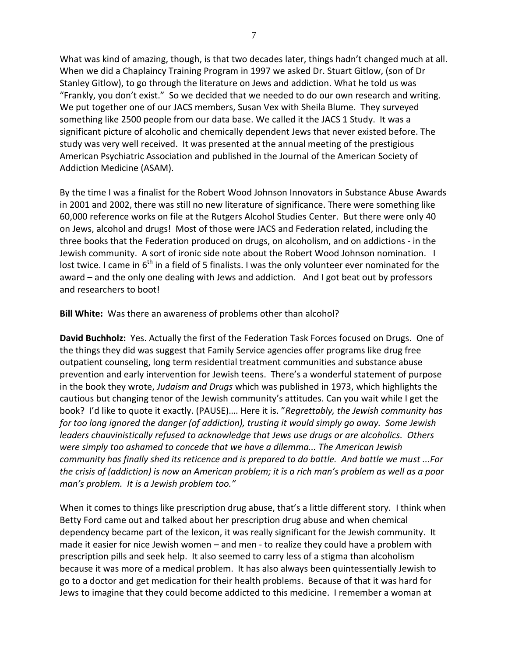What was kind of amazing, though, is that two decades later, things hadn't changed much at all. When we did a Chaplaincy Training Program in 1997 we asked Dr. Stuart Gitlow, (son of Dr Stanley Gitlow), to go through the literature on Jews and addiction. What he told us was "Frankly, you don't exist." So we decided that we needed to do our own research and writing. We put together one of our JACS members, Susan Vex with Sheila Blume. They surveyed something like 2500 people from our data base. We called it the JACS 1 Study. It was a significant picture of alcoholic and chemically dependent Jews that never existed before. The study was very well received. It was presented at the annual meeting of the prestigious American Psychiatric Association and published in the Journal of the American Society of Addiction Medicine (ASAM).

By the time I was a finalist for the Robert Wood Johnson Innovators in Substance Abuse Awards in 2001 and 2002, there was still no new literature of significance. There were something like 60,000 reference works on file at the Rutgers Alcohol Studies Center. But there were only 40 on Jews, alcohol and drugs! Most of those were JACS and Federation related, including the three books that the Federation produced on drugs, on alcoholism, and on addictions - in the Jewish community. A sort of ironic side note about the Robert Wood Johnson nomination. I lost twice. I came in  $6<sup>th</sup>$  in a field of 5 finalists. I was the only volunteer ever nominated for the award – and the only one dealing with Jews and addiction. And I got beat out by professors and researchers to boot!

**Bill White:** Was there an awareness of problems other than alcohol?

**David Buchholz:** Yes. Actually the first of the Federation Task Forces focused on Drugs. One of the things they did was suggest that Family Service agencies offer programs like drug free outpatient counseling, long term residential treatment communities and substance abuse prevention and early intervention for Jewish teens. There's a wonderful statement of purpose in the book they wrote, *Judaism and Drugs* which was published in 1973, which highlights the cautious but changing tenor of the Jewish community's attitudes. Can you wait while I get the book? I'd like to quote it exactly. (PAUSE)…. Here it is. "*Regrettably, the Jewish community has for too long ignored the danger (of addiction), trusting it would simply go away. Some Jewish leaders chauvinistically refused to acknowledge that Jews use drugs or are alcoholics. Others were simply too ashamed to concede that we have a dilemma... The American Jewish community has finally shed its reticence and is prepared to do battle. And battle we must ...For the crisis of (addiction) is now an American problem; it is a rich man's problem as well as a poor man's problem. It is a Jewish problem too."*

When it comes to things like prescription drug abuse, that's a little different story. I think when Betty Ford came out and talked about her prescription drug abuse and when chemical dependency became part of the lexicon, it was really significant for the Jewish community. It made it easier for nice Jewish women – and men - to realize they could have a problem with prescription pills and seek help. It also seemed to carry less of a stigma than alcoholism because it was more of a medical problem. It has also always been quintessentially Jewish to go to a doctor and get medication for their health problems. Because of that it was hard for Jews to imagine that they could become addicted to this medicine. I remember a woman at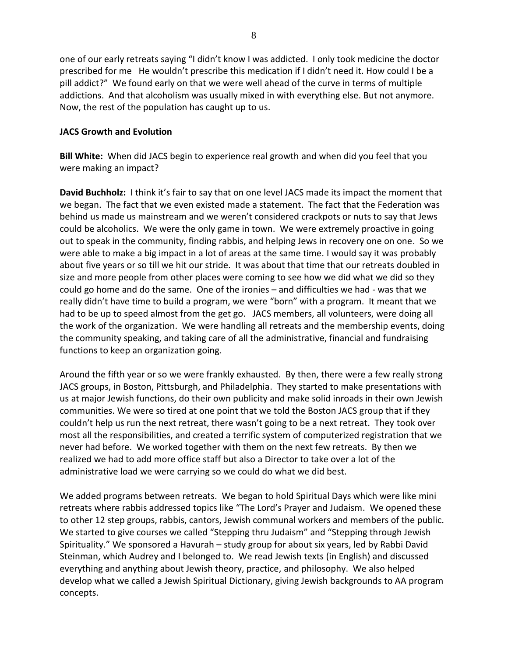one of our early retreats saying "I didn't know I was addicted. I only took medicine the doctor prescribed for me He wouldn't prescribe this medication if I didn't need it. How could I be a pill addict?" We found early on that we were well ahead of the curve in terms of multiple addictions. And that alcoholism was usually mixed in with everything else. But not anymore. Now, the rest of the population has caught up to us.

## **JACS Growth and Evolution**

**Bill White:** When did JACS begin to experience real growth and when did you feel that you were making an impact?

**David Buchholz:** I think it's fair to say that on one level JACS made its impact the moment that we began. The fact that we even existed made a statement. The fact that the Federation was behind us made us mainstream and we weren't considered crackpots or nuts to say that Jews could be alcoholics. We were the only game in town. We were extremely proactive in going out to speak in the community, finding rabbis, and helping Jews in recovery one on one. So we were able to make a big impact in a lot of areas at the same time. I would say it was probably about five years or so till we hit our stride. It was about that time that our retreats doubled in size and more people from other places were coming to see how we did what we did so they could go home and do the same. One of the ironies – and difficulties we had - was that we really didn't have time to build a program, we were "born" with a program. It meant that we had to be up to speed almost from the get go. JACS members, all volunteers, were doing all the work of the organization. We were handling all retreats and the membership events, doing the community speaking, and taking care of all the administrative, financial and fundraising functions to keep an organization going.

Around the fifth year or so we were frankly exhausted. By then, there were a few really strong JACS groups, in Boston, Pittsburgh, and Philadelphia. They started to make presentations with us at major Jewish functions, do their own publicity and make solid inroads in their own Jewish communities. We were so tired at one point that we told the Boston JACS group that if they couldn't help us run the next retreat, there wasn't going to be a next retreat. They took over most all the responsibilities, and created a terrific system of computerized registration that we never had before. We worked together with them on the next few retreats. By then we realized we had to add more office staff but also a Director to take over a lot of the administrative load we were carrying so we could do what we did best.

We added programs between retreats. We began to hold Spiritual Days which were like mini retreats where rabbis addressed topics like "The Lord's Prayer and Judaism. We opened these to other 12 step groups, rabbis, cantors, Jewish communal workers and members of the public. We started to give courses we called "Stepping thru Judaism" and "Stepping through Jewish Spirituality." We sponsored a Havurah – study group for about six years, led by Rabbi David Steinman, which Audrey and I belonged to. We read Jewish texts (in English) and discussed everything and anything about Jewish theory, practice, and philosophy. We also helped develop what we called a Jewish Spiritual Dictionary, giving Jewish backgrounds to AA program concepts.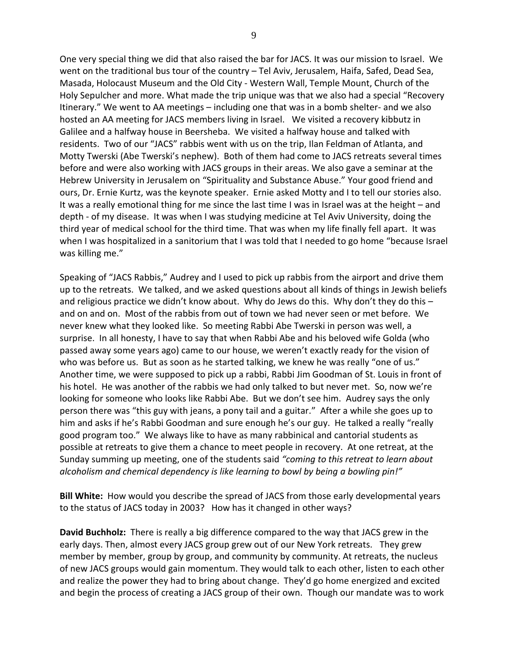One very special thing we did that also raised the bar for JACS. It was our mission to Israel. We went on the traditional bus tour of the country – Tel Aviv, Jerusalem, Haifa, Safed, Dead Sea, Masada, Holocaust Museum and the Old City - Western Wall, Temple Mount, Church of the Holy Sepulcher and more. What made the trip unique was that we also had a special "Recovery Itinerary." We went to AA meetings – including one that was in a bomb shelter- and we also hosted an AA meeting for JACS members living in Israel. We visited a recovery kibbutz in Galilee and a halfway house in Beersheba. We visited a halfway house and talked with residents. Two of our "JACS" rabbis went with us on the trip, Ilan Feldman of Atlanta, and Motty Twerski (Abe Twerski's nephew). Both of them had come to JACS retreats several times before and were also working with JACS groups in their areas. We also gave a seminar at the Hebrew University in Jerusalem on "Spirituality and Substance Abuse." Your good friend and ours, Dr. Ernie Kurtz, was the keynote speaker. Ernie asked Motty and I to tell our stories also. It was a really emotional thing for me since the last time I was in Israel was at the height – and depth - of my disease. It was when I was studying medicine at Tel Aviv University, doing the third year of medical school for the third time. That was when my life finally fell apart. It was when I was hospitalized in a sanitorium that I was told that I needed to go home "because Israel was killing me."

Speaking of "JACS Rabbis," Audrey and I used to pick up rabbis from the airport and drive them up to the retreats. We talked, and we asked questions about all kinds of things in Jewish beliefs and religious practice we didn't know about. Why do Jews do this. Why don't they do this – and on and on. Most of the rabbis from out of town we had never seen or met before. We never knew what they looked like. So meeting Rabbi Abe Twerski in person was well, a surprise. In all honesty, I have to say that when Rabbi Abe and his beloved wife Golda (who passed away some years ago) came to our house, we weren't exactly ready for the vision of who was before us. But as soon as he started talking, we knew he was really "one of us." Another time, we were supposed to pick up a rabbi, Rabbi Jim Goodman of St. Louis in front of his hotel. He was another of the rabbis we had only talked to but never met. So, now we're looking for someone who looks like Rabbi Abe. But we don't see him. Audrey says the only person there was "this guy with jeans, a pony tail and a guitar." After a while she goes up to him and asks if he's Rabbi Goodman and sure enough he's our guy. He talked a really "really good program too." We always like to have as many rabbinical and cantorial students as possible at retreats to give them a chance to meet people in recovery. At one retreat, at the Sunday summing up meeting, one of the students said *"coming to this retreat to learn about alcoholism and chemical dependency is like learning to bowl by being a bowling pin!"* 

**Bill White:** How would you describe the spread of JACS from those early developmental years to the status of JACS today in 2003? How has it changed in other ways?

**David Buchholz:** There is really a big difference compared to the way that JACS grew in the early days. Then, almost every JACS group grew out of our New York retreats. They grew member by member, group by group, and community by community. At retreats, the nucleus of new JACS groups would gain momentum. They would talk to each other, listen to each other and realize the power they had to bring about change. They'd go home energized and excited and begin the process of creating a JACS group of their own. Though our mandate was to work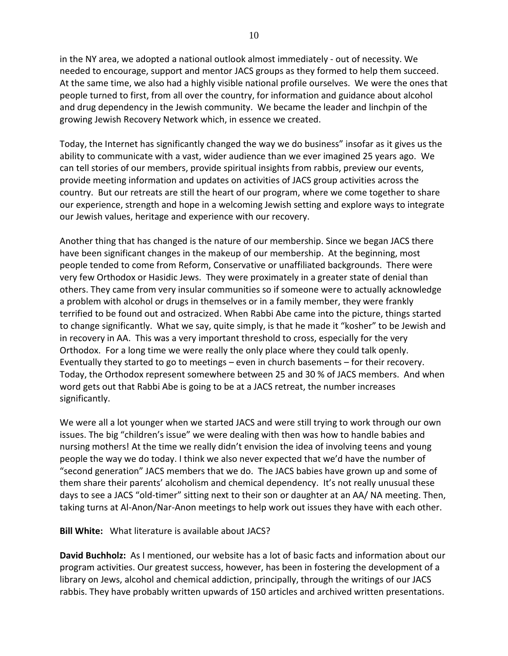in the NY area, we adopted a national outlook almost immediately - out of necessity. We needed to encourage, support and mentor JACS groups as they formed to help them succeed. At the same time, we also had a highly visible national profile ourselves. We were the ones that people turned to first, from all over the country, for information and guidance about alcohol and drug dependency in the Jewish community. We became the leader and linchpin of the growing Jewish Recovery Network which, in essence we created.

Today, the Internet has significantly changed the way we do business" insofar as it gives us the ability to communicate with a vast, wider audience than we ever imagined 25 years ago. We can tell stories of our members, provide spiritual insights from rabbis, preview our events, provide meeting information and updates on activities of JACS group activities across the country. But our retreats are still the heart of our program, where we come together to share our experience, strength and hope in a welcoming Jewish setting and explore ways to integrate our Jewish values, heritage and experience with our recovery.

Another thing that has changed is the nature of our membership. Since we began JACS there have been significant changes in the makeup of our membership. At the beginning, most people tended to come from Reform, Conservative or unaffiliated backgrounds. There were very few Orthodox or Hasidic Jews. They were proximately in a greater state of denial than others. They came from very insular communities so if someone were to actually acknowledge a problem with alcohol or drugs in themselves or in a family member, they were frankly terrified to be found out and ostracized. When Rabbi Abe came into the picture, things started to change significantly. What we say, quite simply, is that he made it "kosher" to be Jewish and in recovery in AA. This was a very important threshold to cross, especially for the very Orthodox. For a long time we were really the only place where they could talk openly. Eventually they started to go to meetings – even in church basements – for their recovery. Today, the Orthodox represent somewhere between 25 and 30 % of JACS members. And when word gets out that Rabbi Abe is going to be at a JACS retreat, the number increases significantly.

We were all a lot younger when we started JACS and were still trying to work through our own issues. The big "children's issue" we were dealing with then was how to handle babies and nursing mothers! At the time we really didn't envision the idea of involving teens and young people the way we do today. I think we also never expected that we'd have the number of "second generation" JACS members that we do. The JACS babies have grown up and some of them share their parents' alcoholism and chemical dependency. It's not really unusual these days to see a JACS "old-timer" sitting next to their son or daughter at an AA/ NA meeting. Then, taking turns at Al-Anon/Nar-Anon meetings to help work out issues they have with each other.

**Bill White:** What literature is available about JACS?

**David Buchholz:** As I mentioned, our website has a lot of basic facts and information about our program activities. Our greatest success, however, has been in fostering the development of a library on Jews, alcohol and chemical addiction, principally, through the writings of our JACS rabbis. They have probably written upwards of 150 articles and archived written presentations.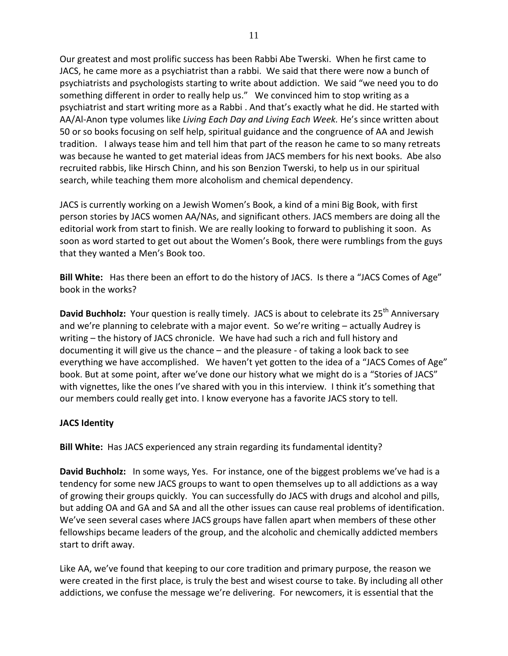Our greatest and most prolific success has been Rabbi Abe Twerski. When he first came to JACS, he came more as a psychiatrist than a rabbi. We said that there were now a bunch of psychiatrists and psychologists starting to write about addiction. We said "we need you to do something different in order to really help us." We convinced him to stop writing as a psychiatrist and start writing more as a Rabbi . And that's exactly what he did. He started with AA/Al-Anon type volumes like *Living Each Day and Living Each Week.* He's since written about 50 or so books focusing on self help, spiritual guidance and the congruence of AA and Jewish tradition. I always tease him and tell him that part of the reason he came to so many retreats was because he wanted to get material ideas from JACS members for his next books. Abe also recruited rabbis, like Hirsch Chinn, and his son Benzion Twerski, to help us in our spiritual search, while teaching them more alcoholism and chemical dependency.

JACS is currently working on a Jewish Women's Book, a kind of a mini Big Book, with first person stories by JACS women AA/NAs, and significant others. JACS members are doing all the editorial work from start to finish. We are really looking to forward to publishing it soon. As soon as word started to get out about the Women's Book, there were rumblings from the guys that they wanted a Men's Book too.

**Bill White:** Has there been an effort to do the history of JACS. Is there a "JACS Comes of Age" book in the works?

**David Buchholz:** Your question is really timely. JACS is about to celebrate its 25<sup>th</sup> Anniversary and we're planning to celebrate with a major event. So we're writing – actually Audrey is writing – the history of JACS chronicle. We have had such a rich and full history and documenting it will give us the chance – and the pleasure - of taking a look back to see everything we have accomplished. We haven't yet gotten to the idea of a "JACS Comes of Age" book. But at some point, after we've done our history what we might do is a "Stories of JACS" with vignettes, like the ones I've shared with you in this interview. I think it's something that our members could really get into. I know everyone has a favorite JACS story to tell.

#### **JACS Identity**

**Bill White:** Has JACS experienced any strain regarding its fundamental identity?

**David Buchholz:** In some ways, Yes. For instance, one of the biggest problems we've had is a tendency for some new JACS groups to want to open themselves up to all addictions as a way of growing their groups quickly. You can successfully do JACS with drugs and alcohol and pills, but adding OA and GA and SA and all the other issues can cause real problems of identification. We've seen several cases where JACS groups have fallen apart when members of these other fellowships became leaders of the group, and the alcoholic and chemically addicted members start to drift away.

Like AA, we've found that keeping to our core tradition and primary purpose, the reason we were created in the first place, is truly the best and wisest course to take. By including all other addictions, we confuse the message we're delivering. For newcomers, it is essential that the